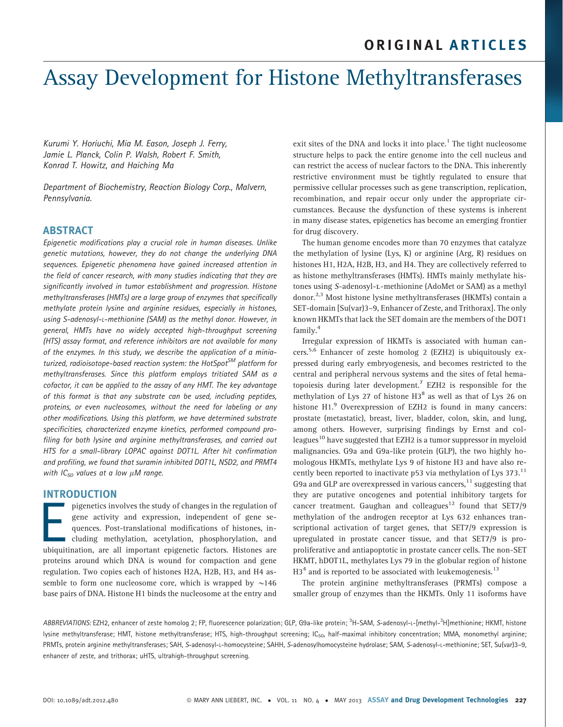# Assay Development for Histone Methyltransferases

Kurumi Y. Horiuchi, Mia M. Eason, Joseph J. Ferry, Jamie L. Planck, Colin P. Walsh, Robert F. Smith, Konrad T. Howitz, and Haiching Ma

Department of Biochemistry, Reaction Biology Corp., Malvern, Pennsylvania.

## ABSTRACT

Epigenetic modifications play a crucial role in human diseases. Unlike genetic mutations, however, they do not change the underlying DNA sequences. Epigenetic phenomena have gained increased attention in the field of cancer research, with many studies indicating that they are significantly involved in tumor establishment and progression. Histone methyltransferases (HMTs) are a large group of enzymes that specifically methylate protein lysine and arginine residues, especially in histones, using S-adenosyl-L-methionine (SAM) as the methyl donor. However, in general, HMTs have no widely accepted high-throughput screening (HTS) assay format, and reference inhibitors are not available for many of the enzymes. In this study, we describe the application of a miniaturized, radioisotope-based reaction system: the HotSpot<sup>SM</sup> platform for methyltransferases. Since this platform employs tritiated SAM as a cofactor, it can be applied to the assay of any HMT. The key advantage of this format is that any substrate can be used, including peptides, proteins, or even nucleosomes, without the need for labeling or any other modifications. Using this platform, we have determined substrate specificities, characterized enzyme kinetics, performed compound profiling for both lysine and arginine methyltransferases, and carried out HTS for a small-library LOPAC against DOT1L. After hit confirmation and profiling, we found that suramin inhibited DOT1L, NSD2, and PRMT4 with  $IC_{50}$  values at a low  $\mu$ M range.

## INTRODUCTION

pigenetics involves the study of changes in the regulation of<br>gene activity and expression, independent of gene se-<br>quences. Post-translational modifications of histones, in-<br>cluding methylation, acetylation, phosphorylati gene activity and expression, independent of gene sequences. Post-translational modifications of histones, including methylation, acetylation, phosphorylation, and ubiquitination, are all important epigenetic factors. Histones are proteins around which DNA is wound for compaction and gene regulation. Two copies each of histones H2A, H2B, H3, and H4 assemble to form one nucleosome core, which is wrapped by  $\sim$ 146 base pairs of DNA. Histone H1 binds the nucleosome at the entry and exit sites of the DNA and locks it into place.<sup>1</sup> The tight nucleosome structure helps to pack the entire genome into the cell nucleus and can restrict the access of nuclear factors to the DNA. This inherently restrictive environment must be tightly regulated to ensure that permissive cellular processes such as gene transcription, replication, recombination, and repair occur only under the appropriate circumstances. Because the dysfunction of these systems is inherent in many disease states, epigenetics has become an emerging frontier for drug discovery.

The human genome encodes more than 70 enzymes that catalyze the methylation of lysine (Lys, K) or arginine (Arg, R) residues on histones H1, H2A, H2B, H3, and H4. They are collectively referred to as histone methyltransferases (HMTs). HMTs mainly methylate histones using S-adenosyl-l-methionine (AdoMet or SAM) as a methyl donor.2,3 Most histone lysine methyltransferases (HKMTs) contain a SET-domain [Su(var)3–9, Enhancer of Zeste, and Trithorax]. The only known HKMTs that lack the SET domain are the members of the DOT1 family.<sup>4</sup>

Irregular expression of HKMTs is associated with human cancers.5,6 Enhancer of zeste homolog 2 (EZH2) is ubiquitously expressed during early embryogenesis, and becomes restricted to the central and peripheral nervous systems and the sites of fetal hematopoiesis during later development.<sup>7</sup> EZH2 is responsible for the methylation of Lys 27 of histone  $H3^8$  as well as that of Lys 26 on histone H1.<sup>9</sup> Overexpression of EZH2 is found in many cancers: prostate (metastatic), breast, liver, bladder, colon, skin, and lung, among others. However, surprising findings by Ernst and colleagues<sup>10</sup> have suggested that EZH2 is a tumor suppressor in myeloid malignancies. G9a and G9a-like protein (GLP), the two highly homologous HKMTs, methylate Lys 9 of histone H3 and have also recently been reported to inactivate p53 via methylation of Lys 373.<sup>11</sup> G9a and GLP are overexpressed in various cancers,  $11$  suggesting that they are putative oncogenes and potential inhibitory targets for cancer treatment. Gaughan and colleagues<sup>12</sup> found that SET7/9 methylation of the androgen receptor at Lys 632 enhances transcriptional activation of target genes, that SET7/9 expression is upregulated in prostate cancer tissue, and that SET7/9 is proproliferative and antiapoptotic in prostate cancer cells. The non-SET HKMT, hDOT1L, methylates Lys 79 in the globular region of histone  $H3<sup>4</sup>$  and is reported to be associated with leukemogenesis.<sup>13</sup>

The protein arginine methyltransferases (PRMTs) compose a smaller group of enzymes than the HKMTs. Only 11 isoforms have

ABBREVIATIONS: EZH2, enhancer of zeste homolog 2; FP, fluorescence polarization; GLP, G9a-like protein; <sup>3</sup>H-SAM, S-adenosyl-L-[methyl-<sup>3</sup>H]methionine; HKMT, histone lysine methyltransferase; HMT, histone methyltransferase; HTS, high-throughput screening; IC<sub>50</sub>, half-maximal inhibitory concentration; MMA, monomethyl arginine; PRMTs, protein arginine methyltransferases; SAH, S-adenosyl-L-homocysteine; SAHH, S-adenosylhomocysteine hydrolase; SAM, S-adenosyl-L-methionine; SET, Su(var)3–9, enhancer of zeste, and trithorax; uHTS, ultrahigh-throughput screening.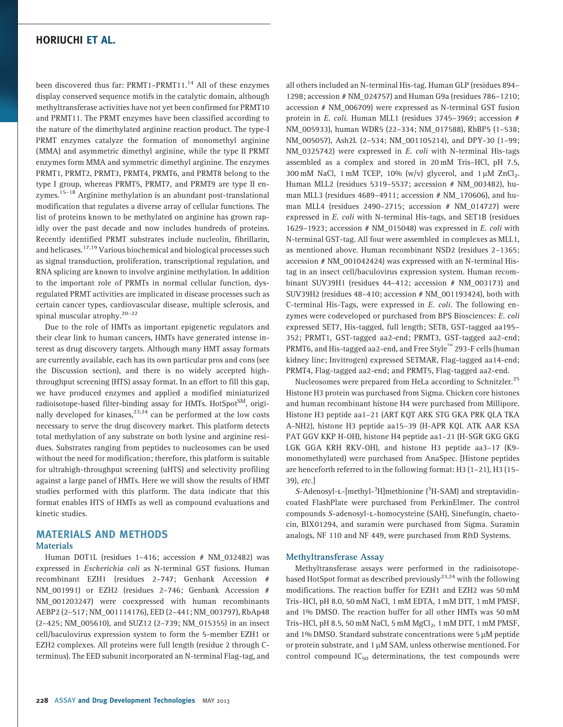been discovered thus far: PRMT1-PRMT11.<sup>14</sup> All of these enzymes display conserved sequence motifs in the catalytic domain, although methyltransferase activities have not yet been confirmed for PRMT10 and PRMT11. The PRMT enzymes have been classified according to the nature of the dimethylated arginine reaction product. The type-I PRMT enzymes catalyze the formation of monomethyl arginine (MMA) and asymmetric dimethyl arginine, while the type II PRMT enzymes form MMA and symmetric dimethyl arginine. The enzymes PRMT1, PRMT2, PRMT3, PRMT4, PRMT6, and PRMT8 belong to the type I group, whereas PRMT5, PRMT7, and PRMT9 are type II enzymes.<sup>15-18</sup> Arginine methylation is an abundant post-translational modification that regulates a diverse array of cellular functions. The list of proteins known to be methylated on arginine has grown rapidly over the past decade and now includes hundreds of proteins. Recently identified PRMT substrates include nucleolin, fibrillarin, and helicases.<sup>17,19</sup> Various biochemical and biological processes such as signal transduction, proliferation, transcriptional regulation, and RNA splicing are known to involve arginine methylation. In addition to the important role of PRMTs in normal cellular function, dysregulated PRMT activities are implicated in disease processes such as certain cancer types, cardiovascular disease, multiple sclerosis, and spinal muscular atrophy. $20-22$ 

Due to the role of HMTs as important epigenetic regulators and their clear link to human cancers, HMTs have generated intense interest as drug discovery targets. Although many HMT assay formats are currently available, each has its own particular pros and cons (see the Discussion section), and there is no widely accepted highthroughput screening (HTS) assay format. In an effort to fill this gap, we have produced enzymes and applied a modified miniaturized radioisotope-based filter-binding assay for HMTs. HotSpot<sup>SM</sup>, originally developed for kinases, $^{23,24}$  can be performed at the low costs necessary to serve the drug discovery market. This platform detects total methylation of any substrate on both lysine and arginine residues. Substrates ranging from peptides to nucleosomes can be used without the need for modification; therefore, this platform is suitable for ultrahigh-throughput screening (uHTS) and selectivity profiling against a large panel of HMTs. Here we will show the results of HMT studies performed with this platform. The data indicate that this format enables HTS of HMTs as well as compound evaluations and kinetic studies.

# MATERIALS AND METHODS **Materials**

Human DOT1L (residues 1–416; accession # NM\_032482) was expressed in Escherichia coli as N-terminal GST fusions. Human recombinant EZH1 (residues 2–747; Genbank Accession # NM\_001991) or EZH2 (residues 2–746; Genbank Accession # NM\_001203247) were coexpressed with human recombinants AEBP2 (2–517; NM\_001114176), EED (2–441; NM\_003797), RbAp48 (2–425; NM\_005610), and SUZ12 (2–739; NM\_015355) in an insect cell/baculovirus expression system to form the 5-member EZH1 or EZH2 complexes. All proteins were full length (residue 2 through Cterminus). The EED subunit incorporated an N-terminal Flag-tag, and

all others included an N-terminal His-tag. Human GLP (residues 894– 1298; accession # NM\_024757) and Human G9a (residues 786–1210; accession # NM\_006709) were expressed as N-terminal GST fusion protein in E. coli. Human MLL1 (residues 3745–3969; accession # NM\_005933), human WDR5 (22–334; NM\_017588), RbBP5 (1–538; NM\_005057), Ash2L (2–534; NM\_001105214), and DPY-30 (1–99; NM\_0325742) were expressed in E. coli with N-terminal His-tags assembled as a complex and stored in 20 mM Tris–HCl, pH 7.5, 300 mM NaCl, 1 mM TCEP, 10% (w/v) glycerol, and  $1 \mu$ M ZnCl<sub>2</sub>. Human MLL2 (residues 5319–5537; accession # NM\_003482), human MLL3 (residues 4689–4911; accession # NM\_170606), and human MLL4 (residues 2490–2715; accession # NM\_014727) were expressed in E. coli with N-terminal His-tags, and SET1B (residues 1629–1923; accession  $#$  NM\_015048) was expressed in  $E$ . *coli* with N-terminal GST-tag. All four were assembled in complexes as MLL1, as mentioned above. Human recombinant NSD2 (residues 2–1365; accession # NM\_001042424) was expressed with an N-terminal Histag in an insect cell/baculovirus expression system. Human recombinant SUV39H1 (residues 44–412; accession # NM\_003173) and SUV39H2 (residues 48–410; accession # NM\_001193424), both with C-terminal His-Tags, were expressed in E. coli. The following enzymes were codeveloped or purchased from BPS Biosciences: E. coli expressed SET7, His-tagged, full length; SET8, GST-tagged aa195– 352; PRMT1, GST-tagged aa2-end; PRMT3, GST-tagged aa2-end;  $\mathop{\mathrm{PRMT6}}$ , and His-tagged aa2-end, and Free Style $\mathrm{^{m}}$  293-F cells (human kidney line; Invitrogen) expressed SETMAR, Flag-tagged aa14-end; PRMT4, Flag-tagged aa2-end; and PRMT5, Flag-tagged aa2-end.

Nucleosomes were prepared from HeLa according to Schnitzler.<sup>25</sup> Histone H3 protein was purchased from Sigma. Chicken core histones and human recombinant histone H4 were purchased from Millipore. Histone H3 peptide aa1–21 (ART KQT ARK STG GKA PRK QLA TKA A-NH2), histone H3 peptide aa15–39 (H-APR KQL ATK AAR KSA PAT GGV KKP H-OH), histone H4 peptide aa1–21 (H-SGR GKG GKG LGK GGA KRH RKV-OH), and histone H3 peptide aa3–17 (K9 monomethylated) were purchased from AnaSpec. [Histone peptides are henceforth referred to in the following format: H3 (1–21), H3 (15– 39), etc.]

S-Adenosyl-L-[methyl-<sup>3</sup>H]methionine (<sup>3</sup>H-SAM) and streptavidincoated FlashPlate were purchased from PerkinElmer. The control compounds S-adenosyl-L-homocysteine (SAH), Sinefungin, chaetocin, BIX01294, and suramin were purchased from Sigma. Suramin analogs, NF 110 and NF 449, were purchased from R&D Systems.

#### Methyltransferase Assay

Methyltransferase assays were performed in the radioisotopebased HotSpot format as described previously $2^{3,24}$  with the following modifications. The reaction buffer for EZH1 and EZH2 was 50 mM Tris–HCl, pH 8.0, 50 mM NaCl, 1 mM EDTA, 1 mM DTT, 1 mM PMSF, and 1% DMSO. The reaction buffer for all other HMTs was 50 mM Tris-HCl, pH 8.5, 50 mM NaCl, 5 mM  $MgCl<sub>2</sub>$ , 1 mM DTT, 1 mM PMSF, and  $1\%$  DMSO. Standard substrate concentrations were 5  $\mu$ M peptide or protein substrate, and 1  $\mu$ M SAM, unless otherwise mentioned. For control compound  $IC_{50}$  determinations, the test compounds were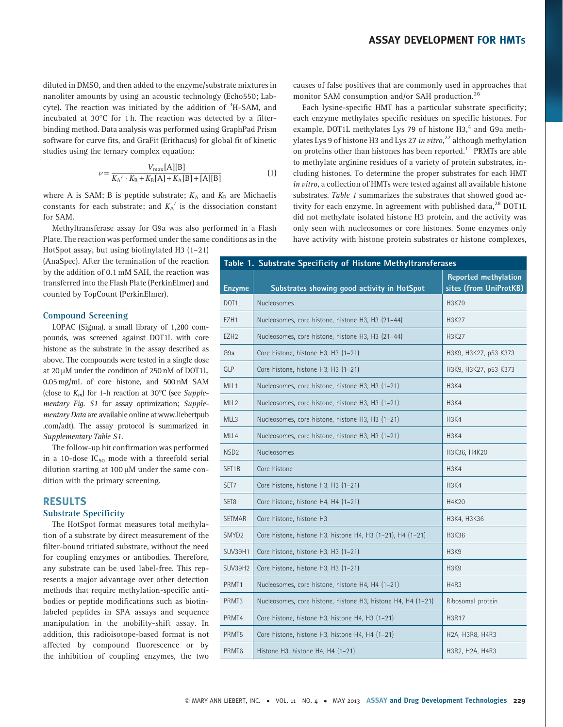diluted in DMSO, and then added to the enzyme/substrate mixtures in nanoliter amounts by using an acoustic technology (Echo550; Labcyte). The reaction was initiated by the addition of <sup>3</sup>H-SAM, and incubated at 30 $^{\circ}$ C for 1 h. The reaction was detected by a filterbinding method. Data analysis was performed using GraphPad Prism software for curve fits, and GraFit (Erithacus) for global fit of kinetic studies using the ternary complex equation:

$$
\nu = \frac{V_{\text{max}}[A][B]}{K_A' \cdot K_B + K_B[A] + K_A[B] + [A][B]}
$$
(1)

where A is SAM; B is peptide substrate;  $K_A$  and  $K_B$  are Michaelis constants for each substrate; and  $K_A'$  is the dissociation constant for SAM.

Methyltransferase assay for G9a was also performed in a Flash Plate. The reaction was performed under the same conditions as in the

HotSpot assay, but using biotinylated H3 (1–21) (AnaSpec). After the termination of the reaction by the addition of 0.1 mM SAH, the reaction was transferred into the Flash Plate (PerkinElmer) and counted by TopCount (PerkinElmer).

#### Compound Screening

LOPAC (Sigma), a small library of 1,280 compounds, was screened against DOT1L with core histone as the substrate in the assay described as above. The compounds were tested in a single dose at  $20 \mu$ M under the condition of  $250 \text{ nM}$  of DOT1L, 0.05 mg/mL of core histone, and 500 nM SAM (close to  $K_m$ ) for 1-h reaction at 30°C (see Supplementary Fig. S1 for assay optimization; Supplementary Data are available online at www.liebertpub .com/adt). The assay protocol is summarized in Supplementary Table S1.

The follow-up hit confirmation was performed in a 10-dose  $IC_{50}$  mode with a threefold serial dilution starting at 100  $\mu$ M under the same condition with the primary screening.

## RESULTS

#### Substrate Specificity

The HotSpot format measures total methylation of a substrate by direct measurement of the filter-bound tritiated substrate, without the need for coupling enzymes or antibodies. Therefore, any substrate can be used label-free. This represents a major advantage over other detection methods that require methylation-specific antibodies or peptide modifications such as biotinlabeled peptides in SPA assays and sequence manipulation in the mobility-shift assay. In addition, this radioisotope-based format is not affected by compound fluorescence or by the inhibition of coupling enzymes, the two

causes of false positives that are commonly used in approaches that monitor SAM consumption and/or SAH production.<sup>26</sup>

Each lysine-specific HMT has a particular substrate specificity; each enzyme methylates specific residues on specific histones. For example, DOT1L methylates Lys 79 of histone H3,<sup>4</sup> and G9a methylates Lys 9 of histone H3 and Lys 27 *in vitro*,<sup>27</sup> although methylation on proteins other than histones has been reported.<sup>11</sup> PRMTs are able to methylate arginine residues of a variety of protein substrates, including histones. To determine the proper substrates for each HMT in vitro, a collection of HMTs were tested against all available histone substrates. Table 1 summarizes the substrates that showed good activity for each enzyme. In agreement with published data, $^{28}$  DOT1L did not methylate isolated histone H3 protein, and the activity was only seen with nucleosomes or core histones. Some enzymes only have activity with histone protein substrates or histone complexes,

| Table 1. Substrate Specificity of Histone Methyltransferases |                                                              |                                                                                 |  |  |  |
|--------------------------------------------------------------|--------------------------------------------------------------|---------------------------------------------------------------------------------|--|--|--|
| <b>Enzyme</b>                                                | Substrates showing good activity in HotSpot                  | <b>Reported methylation</b><br>sites (from UniProtKB)                           |  |  |  |
| DOT <sub>1</sub> L                                           | Nucleosomes                                                  | H3K79                                                                           |  |  |  |
| EZH1                                                         | Nucleosomes, core histone, histone H3, H3 (21-44)            | H3K27                                                                           |  |  |  |
| EZH <sub>2</sub>                                             | Nucleosomes, core histone, histone H3, H3 (21-44)            | H3K27                                                                           |  |  |  |
| G9a                                                          | Core histone, histone H3, H3 (1-21)                          | H3K9, H3K27, p53 K373                                                           |  |  |  |
| GLP                                                          | Core histone, histone H3, H3 (1-21)                          | H3K9, H3K27, p53 K373                                                           |  |  |  |
| MLL1                                                         | Nucleosomes, core histone, histone H3, H3 (1-21)             | <b>H3K4</b>                                                                     |  |  |  |
| MLL <sub>2</sub>                                             | Nucleosomes, core histone, histone H3, H3 (1-21)             | H3K4                                                                            |  |  |  |
| MLL3                                                         | Nucleosomes, core histone, histone H3, H3 (1-21)             | H <sub>3</sub> K <sub>4</sub>                                                   |  |  |  |
| MLL4                                                         | Nucleosomes, core histone, histone H3, H3 (1-21)             | H <sub>3</sub> K <sub>4</sub>                                                   |  |  |  |
| NSD <sub>2</sub>                                             | Nucleosomes                                                  | H3K36, H4K20                                                                    |  |  |  |
| SET <sub>1</sub> B                                           | Core histone                                                 | H3K4                                                                            |  |  |  |
| SET7                                                         | Core histone, histone H3, H3 (1-21)                          | <b>H3K4</b>                                                                     |  |  |  |
| SET <sub>8</sub>                                             | Core histone, histone H4, H4 (1-21)                          | H4K20                                                                           |  |  |  |
| <b>SETMAR</b>                                                | Core histone, histone H3                                     | H3K4, H3K36                                                                     |  |  |  |
| SMYD <sub>2</sub>                                            | Core histone, histone H3, histone H4, H3 (1-21), H4 (1-21)   | H3K36                                                                           |  |  |  |
| <b>SUV39H1</b>                                               | Core histone, histone H3, H3 (1-21)                          | H <sub>3</sub> K <sub>9</sub>                                                   |  |  |  |
| SUV39H2                                                      | Core histone, histone H3, H3 (1-21)                          | H <sub>3</sub> K <sub>9</sub>                                                   |  |  |  |
| PRMT1                                                        | Nucleosomes, core histone, histone H4, H4 (1-21)             | H4R3                                                                            |  |  |  |
| PRMT3                                                        | Nucleosomes, core histone, histone H3, histone H4, H4 (1-21) | Ribosomal protein                                                               |  |  |  |
| PRMT4                                                        | Core histone, histone H3, histone H4, H3 (1-21)              | H3R17                                                                           |  |  |  |
| PRMT5                                                        | Core histone, histone H3, histone H4, H4 (1-21)              | H <sub>2</sub> A, H <sub>3</sub> R <sub>8</sub> , H <sub>4</sub> R <sub>3</sub> |  |  |  |
| PRMT6                                                        | Histone H3, histone H4, H4 (1-21)                            | H3R2, H2A, H4R3                                                                 |  |  |  |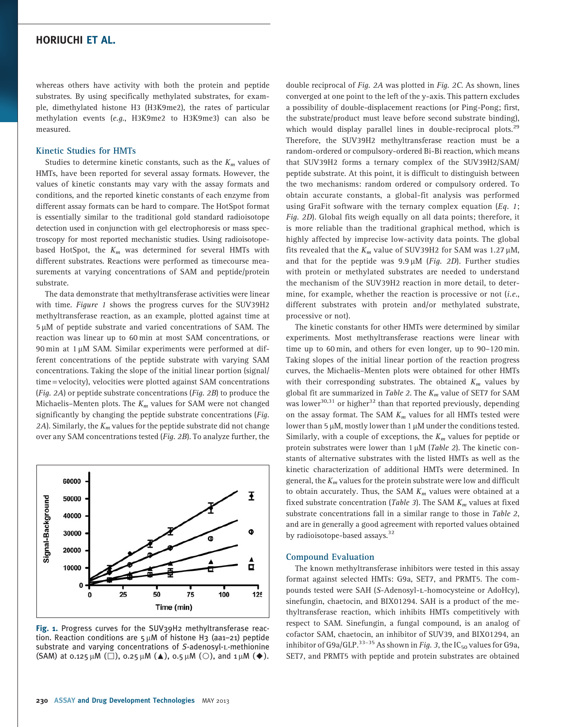whereas others have activity with both the protein and peptide substrates. By using specifically methylated substrates, for example, dimethylated histone H3 (H3K9me2), the rates of particular methylation events (e.g., H3K9me2 to H3K9me3) can also be measured.

#### Kinetic Studies for HMTs

Studies to determine kinetic constants, such as the  $K_m$  values of HMTs, have been reported for several assay formats. However, the values of kinetic constants may vary with the assay formats and conditions, and the reported kinetic constants of each enzyme from different assay formats can be hard to compare. The HotSpot format is essentially similar to the traditional gold standard radioisotope detection used in conjunction with gel electrophoresis or mass spectroscopy for most reported mechanistic studies. Using radioisotopebased HotSpot, the  $K_m$  was determined for several HMTs with different substrates. Reactions were performed as timecourse measurements at varying concentrations of SAM and peptide/protein substrate.

The data demonstrate that methyltransferase activities were linear with time. Figure 1 shows the progress curves for the SUV39H2 methyltransferase reaction, as an example, plotted against time at 5 µM of peptide substrate and varied concentrations of SAM. The reaction was linear up to 60 min at most SAM concentrations, or  $90 \text{ min}$  at  $1 \mu$ M SAM. Similar experiments were performed at different concentrations of the peptide substrate with varying SAM concentrations. Taking the slope of the initial linear portion (signal/ time = velocity), velocities were plotted against SAM concentrations (Fig. 2A) or peptide substrate concentrations (Fig. 2B) to produce the Michaelis-Menten plots. The  $K_m$  values for SAM were not changed significantly by changing the peptide substrate concentrations (Fig. 2A). Similarly, the  $K_m$  values for the peptide substrate did not change over any SAM concentrations tested (Fig. 2B). To analyze further, the



Fig. 1. Progress curves for the SUV39H2 methyltransferase reaction. Reaction conditions are  $5 \mu$ M of histone H3 (aa1–21) peptide substrate and varying concentrations of S-adenosyl-L-methionine (SAM) at 0.125  $\mu$ M ( $\square$ ), 0.25  $\mu$ M ( $\blacktriangle$ ), 0.5  $\mu$ M ( $\bigcirc$ ), and 1  $\mu$ M ( $\blacklozenge$ ).

double reciprocal of Fig. 2A was plotted in Fig. 2C. As shown, lines converged at one point to the left of the y-axis. This pattern excludes a possibility of double-displacement reactions (or Ping-Pong; first, the substrate/product must leave before second substrate binding), which would display parallel lines in double-reciprocal plots.<sup>29</sup> Therefore, the SUV39H2 methyltransferase reaction must be a random-ordered or compulsory-ordered Bi-Bi reaction, which means that SUV39H2 forms a ternary complex of the SUV39H2/SAM/ peptide substrate. At this point, it is difficult to distinguish between the two mechanisms: random ordered or compulsory ordered. To obtain accurate constants, a global-fit analysis was performed using GraFit software with the ternary complex equation  $(Eq. 1;$ Fig. 2D). Global fits weigh equally on all data points; therefore, it is more reliable than the traditional graphical method, which is highly affected by imprecise low-activity data points. The global fits revealed that the  $K_m$  value of SUV39H2 for SAM was 1.27  $\mu$ M, and that for the peptide was  $9.9 \mu M$  (*Fig. 2D*). Further studies with protein or methylated substrates are needed to understand the mechanism of the SUV39H2 reaction in more detail, to determine, for example, whether the reaction is processive or not (i.e., different substrates with protein and/or methylated substrate, processive or not).

The kinetic constants for other HMTs were determined by similar experiments. Most methyltransferase reactions were linear with time up to 60 min, and others for even longer, up to 90–120 min. Taking slopes of the initial linear portion of the reaction progress curves, the Michaelis–Menten plots were obtained for other HMTs with their corresponding substrates. The obtained  $K_m$  values by global fit are summarized in Table 2. The  $K_m$  value of SET7 for SAM was lower<sup>30,31</sup> or higher<sup>32</sup> than that reported previously, depending on the assay format. The SAM  $K_m$  values for all HMTs tested were lower than 5  $\mu$ M, mostly lower than 1  $\mu$ M under the conditions tested. Similarly, with a couple of exceptions, the  $K_m$  values for peptide or protein substrates were lower than  $1 \mu M$  (*Table 2*). The kinetic constants of alternative substrates with the listed HMTs as well as the kinetic characterization of additional HMTs were determined. In general, the  $K_m$  values for the protein substrate were low and difficult to obtain accurately. Thus, the SAM  $K_m$  values were obtained at a fixed substrate concentration (Table 3). The SAM  $K_m$  values at fixed substrate concentrations fall in a similar range to those in Table 2, and are in generally a good agreement with reported values obtained by radioisotope-based assays.<sup>32</sup>

#### Compound Evaluation

The known methyltransferase inhibitors were tested in this assay format against selected HMTs: G9a, SET7, and PRMT5. The compounds tested were SAH (S-Adenosyl-L-homocysteine or AdoHcy), sinefungin, chaetocin, and BIX01294. SAH is a product of the methyltransferase reaction, which inhibits HMTs competitively with respect to SAM. Sinefungin, a fungal compound, is an analog of cofactor SAM, chaetocin, an inhibitor of SUV39, and BIX01294, an inhibitor of G9a/GLP.<sup>33-35</sup> As shown in Fig. 3, the IC<sub>50</sub> values for G9a, SET7, and PRMT5 with peptide and protein substrates are obtained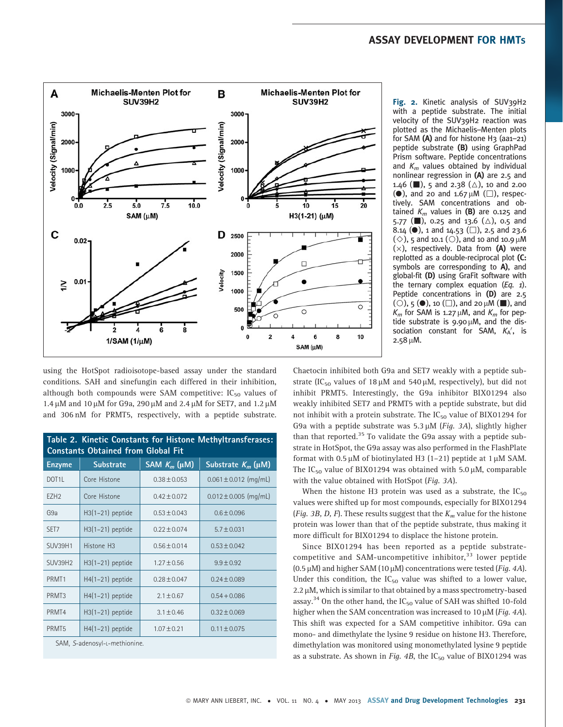

Fig. 2. Kinetic analysis of SUV39H2 with a peptide substrate. The initial velocity of the SUV39H2 reaction was plotted as the Michaelis–Menten plots for SAM  $(A)$  and for histone H<sub>3</sub> (aa1–21) peptide substrate (B) using GraphPad Prism software. Peptide concentrations and  $K_m$  values obtained by individual nonlinear regression in (A) are 2.5 and 1.46 ( $\Box$ ), 5 and 2.38 ( $\triangle$ ), 10 and 2.00 (e), and 20 and 1.67  $\mu$ M ( $\square$ ), respectively. SAM concentrations and obtained  $K_m$  values in (B) are 0.125 and 5.77 ( $\Box$ ), 0.25 and 13.6 ( $\triangle$ ), 0.5 and  $8.14$  (0), 1 and 14.53 ( $\Box$ ), 2.5 and 23.6  $(\diamond)$ , 5 and 10.1 (O), and 10 and 10.9 µM  $(x)$ , respectively. Data from (A) were replotted as a double-reciprocal plot (C: symbols are corresponding to A), and global-fit (D) using GraFit software with the ternary complex equation  $(Eq, 1)$ . Peptide concentrations in (D) are 2.5 (O), 5 ( $\bullet$ ), 10 ( $\square$ ), and 20  $\mu$ M ( $\square$ ), and  $K_m$  for SAM is 1.27  $\mu$ M, and  $K_m$  for peptide substrate is  $9.90 \mu M$ , and the dissociation constant for SAM,  $K_A'$ , is  $2.58 \mu M$ .

using the HotSpot radioisotope-based assay under the standard conditions. SAH and sinefungin each differed in their inhibition, although both compounds were SAM competitive:  $IC_{50}$  values of 1.4  $\mu$ M and 10  $\mu$ M for G9a, 290  $\mu$ M and 2.4  $\mu$ M for SET7, and 1.2  $\mu$ M and 306 nM for PRMT5, respectively, with a peptide substrate.

| Table 2. Kinetic Constants for Histone Methyltransferases:<br><b>Constants Obtained from Global Fit</b> |                        |                      |                           |  |  |  |  |
|---------------------------------------------------------------------------------------------------------|------------------------|----------------------|---------------------------|--|--|--|--|
| <b>Enzyme</b>                                                                                           | <b>Substrate</b>       | SAM $K_m$ ( $\mu$ M) | Substrate $K_m$ (µM)      |  |  |  |  |
| DOT <sub>1</sub> L                                                                                      | Core Histone           | $0.38 \pm 0.053$     | $0.061 \pm 0.012$ (mg/mL) |  |  |  |  |
| EZH <sub>2</sub>                                                                                        | Core Histone           | $0.42 \pm 0.072$     | $0.012 \pm 0.005$ (mg/mL) |  |  |  |  |
| G <sub>9a</sub>                                                                                         | $H3(1-21)$ peptide     | $0.53 \pm 0.043$     | $0.6 \pm 0.096$           |  |  |  |  |
| SET <sub>7</sub>                                                                                        | $H3(1-21)$ peptide     | $0.22 \pm 0.074$     | $5.7 \pm 0.031$           |  |  |  |  |
| SUV39H1                                                                                                 | Histone H <sub>3</sub> | $0.56 \pm 0.014$     | $0.53 \pm 0.042$          |  |  |  |  |
| SUV39H2                                                                                                 | $H3(1-21)$ peptide     | $1.27 \pm 0.56$      | $9.9 \pm 0.92$            |  |  |  |  |
| PRMT <sub>1</sub>                                                                                       | $H4(1-21)$ peptide     | $0.28 \pm 0.047$     | $0.24 \pm 0.089$          |  |  |  |  |
| PRMT <sub>3</sub>                                                                                       | $H4(1-21)$ peptide     | $2.1 \pm 0.67$       | $0.54 + 0.086$            |  |  |  |  |
| PRMT4                                                                                                   | $H3(1-21)$ peptide     | $3.1 \pm 0.46$       | $0.32 \pm 0.069$          |  |  |  |  |
| PRMT <sub>5</sub>                                                                                       | $H4(1-21)$ peptide     | $1.07 \pm 0.21$      | $0.11 \pm 0.075$          |  |  |  |  |
|                                                                                                         |                        |                      |                           |  |  |  |  |

SAM, S-adenosyl-L-methionine.

Chaetocin inhibited both G9a and SET7 weakly with a peptide substrate (IC<sub>50</sub> values of 18  $\mu$ M and 540  $\mu$ M, respectively), but did not inhibit PRMT5. Interestingly, the G9a inhibitor BIX01294 also weakly inhibited SET7 and PRMT5 with a peptide substrate, but did not inhibit with a protein substrate. The  $IC_{50}$  value of BIX01294 for G9a with a peptide substrate was  $5.3 \mu M$  (*Fig. 3A*), slightly higher than that reported. $35$  To validate the G9a assay with a peptide substrate in HotSpot, the G9a assay was also performed in the FlashPlate format with 0.5  $\mu$ M of biotinylated H3 (1-21) peptide at 1  $\mu$ M SAM. The IC<sub>50</sub> value of BIX01294 was obtained with 5.0  $\mu$ M, comparable with the value obtained with HotSpot (Fig. 3A).

When the histone H3 protein was used as a substrate, the  $IC_{50}$ values were shifted up for most compounds, especially for BIX01294 (Fig. 3B, D, F). These results suggest that the  $K_m$  value for the histone protein was lower than that of the peptide substrate, thus making it more difficult for BIX01294 to displace the histone protein.

Since BIX01294 has been reported as a peptide substratecompetitive and SAM-uncompetitive inhibitor,<sup>33</sup> lower peptide (0.5  $\mu$ M) and higher SAM (10  $\mu$ M) concentrations were tested (*Fig. 4A*). Under this condition, the  $IC_{50}$  value was shifted to a lower value,  $2.2 \mu$ M, which is similar to that obtained by a mass spectrometry-based assay.<sup>34</sup> On the other hand, the  $IC_{50}$  value of SAH was shifted 10-fold higher when the SAM concentration was increased to  $10 \mu$ M (*Fig. 4A*). This shift was expected for a SAM competitive inhibitor. G9a can mono- and dimethylate the lysine 9 residue on histone H3. Therefore, dimethylation was monitored using monomethylated lysine 9 peptide as a substrate. As shown in Fig. 4B, the  $IC_{50}$  value of BIX01294 was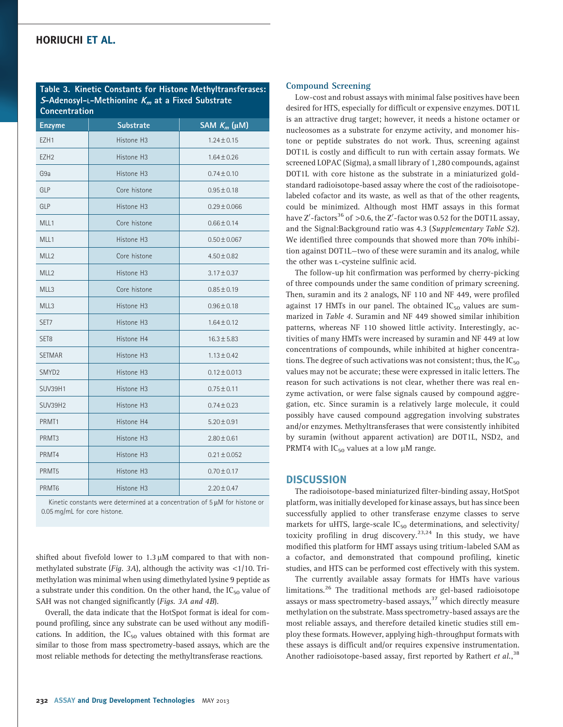Table 3. Kinetic Constants for Histone Methyltransferases: S-Adenosyl-L-Methionine  $K_m$  at a Fixed Substrate Concentration

| <b>Enzyme</b>     | <b>Substrate</b>       | SAM $K_m$ ( $\mu$ M) |
|-------------------|------------------------|----------------------|
| EZH <sub>1</sub>  | Histone H <sub>3</sub> | $1.24 \pm 0.15$      |
| EZH <sub>2</sub>  | Histone H <sub>3</sub> | $1.64 \pm 0.26$      |
| G9a               | Histone H <sub>3</sub> | $0.74 \pm 0.10$      |
| <b>GLP</b>        | Core histone           | $0.95 \pm 0.18$      |
| <b>GLP</b>        | Histone H <sub>3</sub> | $0.29 \pm 0.066$     |
| MLL1              | Core histone           | $0.66 \pm 0.14$      |
| MLL1              | Histone H <sub>3</sub> | $0.50 \pm 0.067$     |
| MLL <sub>2</sub>  | Core histone           | $4.50 \pm 0.82$      |
| MLL <sub>2</sub>  | Histone H3             | $3.17 \pm 0.37$      |
| MLL3              | Core histone           | $0.85 \pm 0.19$      |
| MLL3              | Histone H3             | $0.96 \pm 0.18$      |
| SET <sub>7</sub>  | Histone H <sub>3</sub> | $1.64 \pm 0.12$      |
| SET <sub>8</sub>  | Histone H4             | $16.3 \pm 5.83$      |
| <b>SETMAR</b>     | Histone H3             | $1.13 \pm 0.42$      |
| SMYD <sub>2</sub> | Histone H <sub>3</sub> | $0.12 \pm 0.013$     |
| <b>SUV39H1</b>    | Histone H3             | $0.75 \pm 0.11$      |
| <b>SUV39H2</b>    | Histone H3             | $0.74 \pm 0.23$      |
| PRMT <sub>1</sub> | Histone H4             | $5.20 \pm 0.91$      |
| PRMT3             | Histone H3             | $2.80 \pm 0.61$      |
| PRMT4             | Histone H3             | $0.21 \pm 0.052$     |
| PRMT <sub>5</sub> | Histone H <sub>3</sub> | $0.70 \pm 0.17$      |
| PRMT <sub>6</sub> | Histone H3             | $2.20 \pm 0.47$      |

Kinetic constants were determined at a concentration of  $5 \mu$ M for histone or 0.05 mg/mL for core histone.

shifted about fivefold lower to  $1.3 \mu$ M compared to that with nonmethylated substrate (*Fig. 3A*), although the activity was  $\langle 1/10$ . Trimethylation was minimal when using dimethylated lysine 9 peptide as a substrate under this condition. On the other hand, the  $IC_{50}$  value of SAH was not changed significantly (Figs. 3A and 4B).

Overall, the data indicate that the HotSpot format is ideal for compound profiling, since any substrate can be used without any modifications. In addition, the  $IC_{50}$  values obtained with this format are similar to those from mass spectrometry-based assays, which are the most reliable methods for detecting the methyltransferase reactions.

#### Compound Screening

Low-cost and robust assays with minimal false positives have been desired for HTS, especially for difficult or expensive enzymes. DOT1L is an attractive drug target; however, it needs a histone octamer or nucleosomes as a substrate for enzyme activity, and monomer histone or peptide substrates do not work. Thus, screening against DOT1L is costly and difficult to run with certain assay formats. We screened LOPAC (Sigma), a small library of 1,280 compounds, against DOT1L with core histone as the substrate in a miniaturized goldstandard radioisotope-based assay where the cost of the radioisotopelabeled cofactor and its waste, as well as that of the other reagents, could be minimized. Although most HMT assays in this format have Z'-factors $^{36}$  of  $>$  0.6, the Z'-factor was 0.52 for the DOT1L assay, and the Signal:Background ratio was 4.3 (Supplementary Table S2). We identified three compounds that showed more than 70% inhibition against DOT1L—two of these were suramin and its analog, while the other was *L*-cysteine sulfinic acid.

The follow-up hit confirmation was performed by cherry-picking of three compounds under the same condition of primary screening. Then, suramin and its 2 analogs, NF 110 and NF 449, were profiled against 17 HMTs in our panel. The obtained  $IC_{50}$  values are summarized in Table 4. Suramin and NF 449 showed similar inhibition patterns, whereas NF 110 showed little activity. Interestingly, activities of many HMTs were increased by suramin and NF 449 at low concentrations of compounds, while inhibited at higher concentrations. The degree of such activations was not consistent; thus, the  $IC_{50}$ values may not be accurate; these were expressed in italic letters. The reason for such activations is not clear, whether there was real enzyme activation, or were false signals caused by compound aggregation, etc. Since suramin is a relatively large molecule, it could possibly have caused compound aggregation involving substrates and/or enzymes. Methyltransferases that were consistently inhibited by suramin (without apparent activation) are DOT1L, NSD2, and PRMT4 with  $IC_{50}$  values at a low  $\mu$ M range.

#### **DISCUSSION**

The radioisotope-based miniaturized filter-binding assay, HotSpot platform, was initially developed for kinase assays, but has since been successfully applied to other transferase enzyme classes to serve markets for uHTS, large-scale  $IC_{50}$  determinations, and selectivity/ toxicity profiling in drug discovery.<sup>23,24</sup> In this study, we have modified this platform for HMT assays using tritium-labeled SAM as a cofactor, and demonstrated that compound profiling, kinetic studies, and HTS can be performed cost effectively with this system.

The currently available assay formats for HMTs have various limitations.<sup>26</sup> The traditional methods are gel-based radioisotope assays or mass spectrometry-based assays,<sup>37</sup> which directly measure methylation on the substrate. Mass spectrometry-based assays are the most reliable assays, and therefore detailed kinetic studies still employ these formats. However, applying high-throughput formats with these assays is difficult and/or requires expensive instrumentation. Another radioisotope-based assay, first reported by Rathert et al.,<sup>38</sup>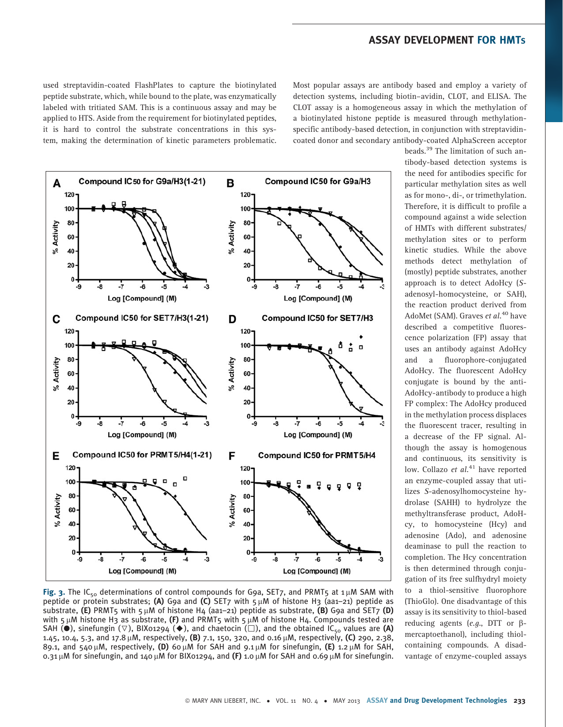used streptavidin-coated FlashPlates to capture the biotinylated peptide substrate, which, while bound to the plate, was enzymatically labeled with tritiated SAM. This is a continuous assay and may be applied to HTS. Aside from the requirement for biotinylated peptides, it is hard to control the substrate concentrations in this system, making the determination of kinetic parameters problematic.

Most popular assays are antibody based and employ a variety of detection systems, including biotin–avidin, CLOT, and ELISA. The CLOT assay is a homogeneous assay in which the methylation of a biotinylated histone peptide is measured through methylationspecific antibody-based detection, in conjunction with streptavidincoated donor and secondary antibody-coated AlphaScreen acceptor



Fig. 3. The IC<sub>50</sub> determinations of control compounds for G9a, SET7, and PRMT5 at 1  $\mu$ M SAM with peptide or protein substrates; (A) G9a and (C) SET7 with  $5 \mu$ M of histone H3 (aa1–21) peptide as substrate, (E) PRMT5 with  $5 \mu$ M of histone H4 (aa1-21) peptide as substrate, (B) G9a and SET7 (D) with  $5 \mu$ M histone H3 as substrate, (F) and PRMT5 with  $5 \mu$ M of histone H4. Compounds tested are SAH ( $\bullet$ ), sinefungin ( $\nabla$ ), BIX01294 ( $\bullet$ ), and chaetocin ( $\square$ ), and the obtained IC<sub>50</sub> values are (A) 1.45, 10.4, 5.3, and 17.8  $\mu$ M, respectively, (B) 7.1, 150, 320, and 0.16  $\mu$ M, respectively, (C) 290, 2.38, 89.1, and 540  $\mu$ M, respectively, (D) 60  $\mu$ M for SAH and 9.1  $\mu$ M for sinefungin, (E) 1.2  $\mu$ M for SAH, 0.31  $\mu$ M for sinefungin, and 140  $\mu$ M for BIX01294, and (F) 1.0  $\mu$ M for SAH and 0.69  $\mu$ M for sinefungin.

beads.<sup>39</sup> The limitation of such antibody-based detection systems is the need for antibodies specific for particular methylation sites as well as for mono-, di-, or trimethylation. Therefore, it is difficult to profile a compound against a wide selection of HMTs with different substrates/ methylation sites or to perform kinetic studies. While the above methods detect methylation of (mostly) peptide substrates, another approach is to detect AdoHcy (Sadenosyl-homocysteine, or SAH), the reaction product derived from AdoMet (SAM). Graves et al.<sup>40</sup> have described a competitive fluorescence polarization (FP) assay that uses an antibody against AdoHcy and a fluorophore-conjugated AdoHcy. The fluorescent AdoHcy conjugate is bound by the anti-AdoHcy-antibody to produce a high FP complex: The AdoHcy produced in the methylation process displaces the fluorescent tracer, resulting in a decrease of the FP signal. Although the assay is homogenous and continuous, its sensitivity is low. Collazo et  $al.^{41}$  have reported an enzyme-coupled assay that utilizes S-adenosylhomocysteine hydrolase (SAHH) to hydrolyze the methyltransferase product, AdoHcy, to homocysteine (Hcy) and adenosine (Ado), and adenosine deaminase to pull the reaction to completion. The Hcy concentration is then determined through conjugation of its free sulfhydryl moiety to a thiol-sensitive fluorophore (ThioGlo). One disadvantage of this assay is its sensitivity to thiol-based reducing agents (e.g., DTT or  $\beta$ mercaptoethanol), including thiolcontaining compounds. A disadvantage of enzyme-coupled assays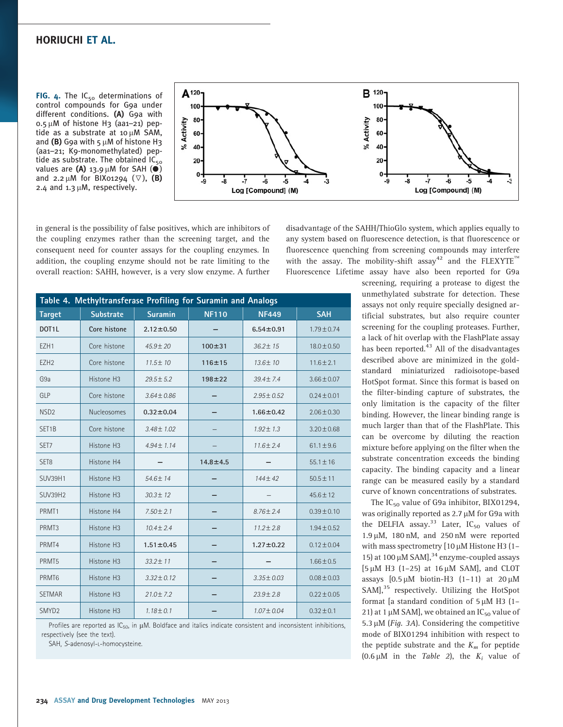FIG. 4. The  $IC_{50}$  determinations of control compounds for G9a under different conditions. (A) G9a with  $0.5 \mu$ M of histone H3 (aa1-21) peptide as a substrate at 10  $\mu$ M SAM, and (B) G9a with  $5 \mu$ M of histone H3 (aa1–21; K9-monomethylated) peptide as substrate. The obtained  $IC_{50}$ values are (A) 13.9  $\mu$ M for SAH ( $\bullet$ ) and 2.2  $\mu$ M for BIX01294 ( $\nabla$ ), (B) 2.4 and  $1.3 \mu$ M, respectively.



in general is the possibility of false positives, which are inhibitors of the coupling enzymes rather than the screening target, and the consequent need for counter assays for the coupling enzymes. In addition, the coupling enzyme should not be rate limiting to the overall reaction: SAHH, however, is a very slow enzyme. A further

disadvantage of the SAHH/ThioGlo system, which applies equally to any system based on fluorescence detection, is that fluorescence or fluorescence quenching from screening compounds may interfere with the assay. The mobility-shift assay<sup>42</sup> and the FLEXYTE<sup> $m$ </sup> Fluorescence Lifetime assay have also been reported for G9a

| Table 4. Methyltransferase Profiling for Suramin and Analogs |                  |                 |                |                 |                 |  |  |
|--------------------------------------------------------------|------------------|-----------------|----------------|-----------------|-----------------|--|--|
| <b>Target</b>                                                | <b>Substrate</b> | <b>Suramin</b>  | <b>NF110</b>   | <b>NF449</b>    | <b>SAH</b>      |  |  |
| DOT <sub>1</sub> L                                           | Core histone     | $2.12 \pm 0.50$ |                | $6.54 \pm 0.91$ | $1.79 \pm 0.74$ |  |  |
| EZH1                                                         | Core histone     | $45.9 \pm 20$   | $100 + 31$     | $36.2 \pm 15$   | $18.0 \pm 0.50$ |  |  |
| EZH <sub>2</sub>                                             | Core histone     | $11.5 \pm 10$   | 116±15         | 13.6±10         | $11.6 \pm 2.1$  |  |  |
| G9a                                                          | Histone H3       | $29.5 \pm 5.2$  | $198 + 22$     | $39.4 \pm 7.4$  | $3.66 \pm 0.07$ |  |  |
| GLP                                                          | Core histone     | $3.64 \pm 0.86$ |                | $2.95 \pm 0.52$ | $0.24 \pm 0.01$ |  |  |
| NSD <sub>2</sub>                                             | Nucleosomes      | $0.32 \pm 0.04$ |                | $1.66 \pm 0.42$ | $2.06 \pm 0.30$ |  |  |
| SET <sub>1</sub> B                                           | Core histone     | 3.48±1.02       |                | $1.92 \pm 1.3$  | $3.20 \pm 0.68$ |  |  |
| SET <sub>7</sub>                                             | Histone H3       | $4.94 \pm 1.14$ |                | $11.6 \pm 2.4$  | $61.1 \pm 9.6$  |  |  |
| SET <sub>8</sub>                                             | Histone H4       |                 | $14.8 \pm 4.5$ |                 | $55.1 \pm 16$   |  |  |
| <b>SUV39H1</b>                                               | Histone H3       | 54.6±14         |                | $144 \pm 42$    | $50.5 \pm 11$   |  |  |
| <b>SUV39H2</b>                                               | Histone H3       | $30.3 \pm 12$   |                |                 | $45.6 \pm 12$   |  |  |
| PRMT1                                                        | Histone H4       | $7.50 \pm 2.1$  |                | $8.76 \pm 2.4$  | $0.39 \pm 0.10$ |  |  |
| PRMT3                                                        | Histone H3       | $10.4 \pm 2.4$  |                | $11.2 \pm 2.8$  | $1.94 \pm 0.52$ |  |  |
| PRMT4                                                        | Histone H3       | $1.51 \pm 0.45$ |                | $1.27 \pm 0.22$ | $0.12 \pm 0.04$ |  |  |
| PRMT5                                                        | Histone H3       | 33.2±11         |                |                 | $1.66 \pm 0.5$  |  |  |
| PRMT6                                                        | Histone H3       | $3.32 \pm 0.12$ |                | $3.35 \pm 0.03$ | $0.08 \pm 0.03$ |  |  |
| <b>SETMAR</b>                                                | Histone H3       | $21.0 \pm 7.2$  |                | $23.9 \pm 2.8$  | $0.22 \pm 0.05$ |  |  |
| SMYD <sub>2</sub>                                            | Histone H3       | $1.18 \pm 0.1$  |                | $1.07 \pm 0.04$ | $0.32 \pm 0.1$  |  |  |

Profiles are reported as IC<sub>50</sub>, in  $\mu$ M. Boldface and italics indicate consistent and inconsistent inhibitions, respectively (see the text).

SAH, S-adenosyl-L-homocysteine.

screening, requiring a protease to digest the unmethylated substrate for detection. These assays not only require specially designed artificial substrates, but also require counter screening for the coupling proteases. Further, a lack of hit overlap with the FlashPlate assay has been reported.<sup>43</sup> All of the disadvantages described above are minimized in the goldstandard miniaturized radioisotope-based HotSpot format. Since this format is based on the filter-binding capture of substrates, the only limitation is the capacity of the filter binding. However, the linear binding range is much larger than that of the FlashPlate. This can be overcome by diluting the reaction mixture before applying on the filter when the substrate concentration exceeds the binding capacity. The binding capacity and a linear range can be measured easily by a standard curve of known concentrations of substrates.

The  $IC_{50}$  value of G9a inhibitor, BIX01294, was originally reported as 2.7 µM for G9a with the DELFIA assay.<sup>33</sup> Later,  $IC_{50}$  values of 1.9  $\mu$ M, 180 nM, and 250 nM were reported with mass spectrometry  $[10 \mu M$  Histone H3  $(1 -$ 15) at 100  $\mu$ M SAM],<sup>34</sup> enzyme-coupled assays  $[5 \mu M$  H3 (1-25) at 16  $\mu$ M SAM], and CLOT assays  $[0.5 \mu M$  biotin-H3  $(1-11)$  at  $20 \mu M$ SAM],<sup>35</sup> respectively. Utilizing the HotSpot format [a standard condition of  $5 \mu M$  H3 (1-21) at 1  $\mu$ M SAM], we obtained an IC<sub>50</sub> value of 5.3  $\mu$ M (*Fig. 3A*). Considering the competitive mode of BIX01294 inhibition with respect to the peptide substrate and the  $K_m$  for peptide (0.6  $\mu$ M in the *Table 2*), the  $K_i$  value of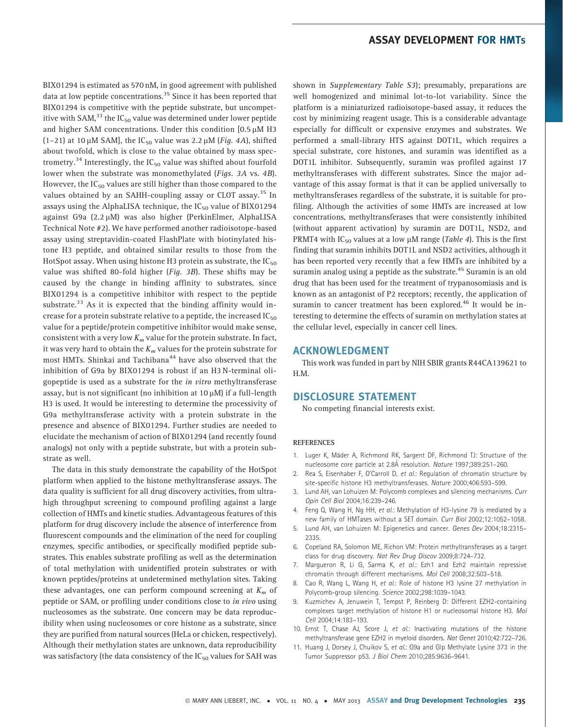BIX01294 is estimated as 570 nM, in good agreement with published data at low peptide concentrations.<sup>35</sup> Since it has been reported that BIX01294 is competitive with the peptide substrate, but uncompetitive with SAM,<sup>33</sup> the IC<sub>50</sub> value was determined under lower peptide and higher SAM concentrations. Under this condition  $[0.5 \mu M H3$ (1-21) at 10  $\mu$ M SAM], the IC<sub>50</sub> value was 2.2  $\mu$ M (*Fig. 4A*), shifted about twofold, which is close to the value obtained by mass spectrometry.<sup>34</sup> Interestingly, the  $IC_{50}$  value was shifted about fourfold lower when the substrate was monomethylated (Figs. 3A vs. 4B). However, the  $IC_{50}$  values are still higher than those compared to the values obtained by an SAHH-coupling assay or CLOT assay.<sup>35</sup> In assays using the AlphaLISA technique, the  $IC_{50}$  value of BIX01294 against G9a  $(2.2 \mu M)$  was also higher (PerkinElmer, AlphaLISA Technical Note #2). We have performed another radioisotope-based assay using streptavidin-coated FlashPlate with biotinylated histone H3 peptide, and obtained similar results to those from the HotSpot assay. When using histone H3 protein as substrate, the  $IC_{50}$ value was shifted 80-fold higher (Fig. 3B). These shifts may be caused by the change in binding affinity to substrates, since BIX01294 is a competitive inhibitor with respect to the peptide substrate.<sup>33</sup> As it is expected that the binding affinity would increase for a protein substrate relative to a peptide, the increased  $IC_{50}$ value for a peptide/protein competitive inhibitor would make sense, consistent with a very low  $K_m$  value for the protein substrate. In fact, it was very hard to obtain the  $K_m$  values for the protein substrate for most HMTs. Shinkai and Tachibana<sup>44</sup> have also observed that the inhibition of G9a by BIX01294 is robust if an H3 N-terminal oligopeptide is used as a substrate for the in vitro methyltransferase assay, but is not significant (no inhibition at  $10 \mu M$ ) if a full-length H3 is used. It would be interesting to determine the processivity of G9a methyltransferase activity with a protein substrate in the presence and absence of BIX01294. Further studies are needed to elucidate the mechanism of action of BIX01294 (and recently found analogs) not only with a peptide substrate, but with a protein substrate as well.

The data in this study demonstrate the capability of the HotSpot platform when applied to the histone methyltransferase assays. The data quality is sufficient for all drug discovery activities, from ultrahigh throughput screening to compound profiling against a large collection of HMTs and kinetic studies. Advantageous features of this platform for drug discovery include the absence of interference from fluorescent compounds and the elimination of the need for coupling enzymes, specific antibodies, or specifically modified peptide substrates. This enables substrate profiling as well as the determination of total methylation with unidentified protein substrates or with known peptides/proteins at undetermined methylation sites. Taking these advantages, one can perform compound screening at  $K_m$  of peptide or SAM, or profiling under conditions close to in vivo using nucleosomes as the substrate. One concern may be data reproducibility when using nucleosomes or core histone as a substrate, since they are purified from natural sources (HeLa or chicken, respectively). Although their methylation states are unknown, data reproducibility was satisfactory (the data consistency of the  $IC_{50}$  values for SAH was

shown in Supplementary Table S3); presumably, preparations are well homogenized and minimal lot-to-lot variability. Since the platform is a miniaturized radioisotope-based assay, it reduces the cost by minimizing reagent usage. This is a considerable advantage especially for difficult or expensive enzymes and substrates. We performed a small-library HTS against DOT1L, which requires a special substrate, core histones, and suramin was identified as a DOT1L inhibitor. Subsequently, suramin was profiled against 17 methyltransferases with different substrates. Since the major advantage of this assay format is that it can be applied universally to methyltransferases regardless of the substrate, it is suitable for profiling. Although the activities of some HMTs are increased at low concentrations, methyltransferases that were consistently inhibited (without apparent activation) by suramin are DOT1L, NSD2, and PRMT4 with IC<sub>50</sub> values at a low  $\mu$ M range (*Table 4*). This is the first finding that suramin inhibits DOT1L and NSD2 activities, although it has been reported very recently that a few HMTs are inhibited by a suramin analog using a peptide as the substrate.<sup>45</sup> Suramin is an old drug that has been used for the treatment of trypanosomiasis and is known as an antagonist of P2 receptors; recently, the application of suramin to cancer treatment has been explored.<sup>46</sup> It would be interesting to determine the effects of suramin on methylation states at the cellular level, especially in cancer cell lines.

#### ACKNOWLEDGMENT

This work was funded in part by NIH SBIR grants R44CA139621 to H.M.

## DISCLOSURE STATEMENT

No competing financial interests exist.

#### REFERENCES

- 1. Luger K, Mäder A, Richmond RK, Sargent DF, Richmond TJ: Structure of the nucleosome core particle at 2.8A˚ resolution. Nature 1997;389:251–260.
- 2. Rea S, Eisenhaber F, O'Carroll D, et al.: Regulation of chromatin structure by site-specific histone H3 methyltransferases. Nature 2000;406:593–599.
- 3. Lund AH, van Lohuizen M: Polycomb complexes and silencing mechanisms. Curr Opin Cell Biol 2004;16:239–246.
- 4. Feng Q, Wang H, Ng HH, et al.: Methylation of H3-lysine 79 is mediated by a new family of HMTases without a SET domain. Curr Biol 2002;12:1052–1058.
- 5. Lund AH, van Lohuizen M: Epigenetics and cancer. Genes Dev 2004;18:2315– 2335.
- 6. Copeland RA, Solomon ME, Richon VM: Protein methyltransferases as a target class for drug discovery. Nat Rev Drug Discov 2009;8:724–732.
- 7. Margueron R, Li G, Sarma K, et al.: Ezh1 and Ezh2 maintain repressive chromatin through different mechanisms. Mol Cell 2008;32:503–518.
- Cao R, Wang L, Wang H, et al.: Role of histone H3 lysine 27 methylation in Polycomb-group silencing. Science 2002;298:1039–1043.
- 9. Kuzmichev A, Jenuwein T, Tempst P, Reinberg D: Different EZH2-containing complexes target methylation of histone H1 or nucleosomal histone H3. Mol Cell 2004;14:183–193.
- 10. Ernst T, Chase AJ, Score J, et al.: Inactivating mutations of the histone methyltransferase gene EZH2 in myeloid disorders. Nat Genet 2010;42:722–726.
- 11. Huang J, Dorsey J, Chuikov S, et al.: G9a and Glp Methylate Lysine 373 in the Tumor Suppressor p53. J Biol Chem 2010;285:9636–9641.